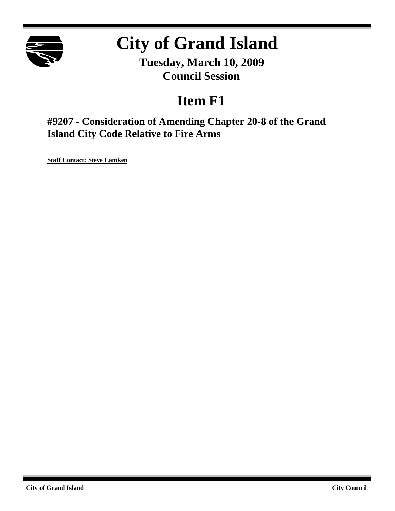

# **City of Grand Island**

**Tuesday, March 10, 2009 Council Session**

## **Item F1**

**#9207 - Consideration of Amending Chapter 20-8 of the Grand Island City Code Relative to Fire Arms**

**Staff Contact: Steve Lamken**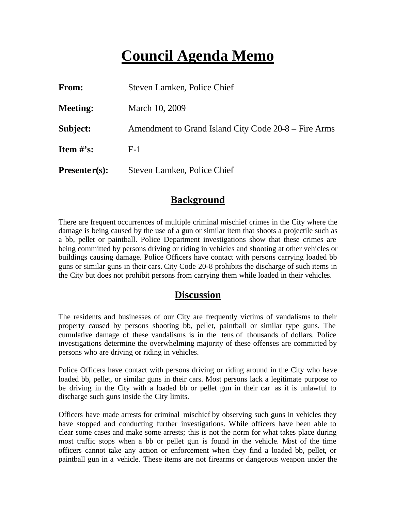## **Council Agenda Memo**

| From:                          | Steven Lamken, Police Chief                          |
|--------------------------------|------------------------------------------------------|
| <b>Meeting:</b>                | March 10, 2009                                       |
| Subject:                       | Amendment to Grand Island City Code 20-8 – Fire Arms |
| <b>Item <math>\#</math>'s:</b> | $F-1$                                                |
| $Presenter(s):$                | Steven Lamken, Police Chief                          |

## **Background**

There are frequent occurrences of multiple criminal mischief crimes in the City where the damage is being caused by the use of a gun or similar item that shoots a projectile such as a bb, pellet or paintball. Police Department investigations show that these crimes are being committed by persons driving or riding in vehicles and shooting at other vehicles or buildings causing damage. Police Officers have contact with persons carrying loaded bb guns or similar guns in their cars. City Code 20-8 prohibits the discharge of such items in the City but does not prohibit persons from carrying them while loaded in their vehicles.

## **Discussion**

The residents and businesses of our City are frequently victims of vandalisms to their property caused by persons shooting bb, pellet, paintball or similar type guns. The cumulative damage of these vandalisms is in the tens of thousands of dollars. Police investigations determine the overwhelming majority of these offenses are committed by persons who are driving or riding in vehicles.

Police Officers have contact with persons driving or riding around in the City who have loaded bb, pellet, or similar guns in their cars. Most persons lack a legitimate purpose to be driving in the City with a loaded bb or pellet gun in their car as it is unlawful to discharge such guns inside the City limits.

Officers have made arrests for criminal mischief by observing such guns in vehicles they have stopped and conducting further investigations. While officers have been able to clear some cases and make some arrests; this is not the norm for what takes place during most traffic stops when a bb or pellet gun is found in the vehicle. Most of the time officers cannot take any action or enforcement when they find a loaded bb, pellet, or paintball gun in a vehicle. These items are not firearms or dangerous weapon under the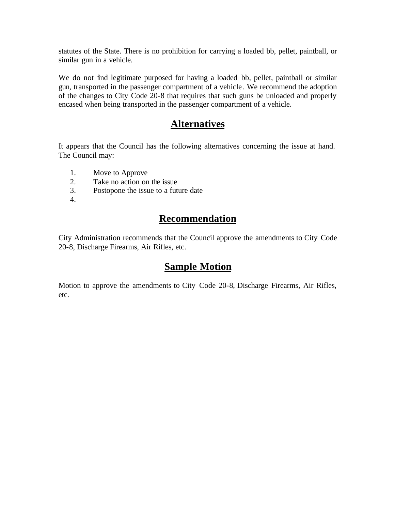statutes of the State. There is no prohibition for carrying a loaded bb, pellet, paintball, or similar gun in a vehicle.

We do not find legitimate purposed for having a loaded bb, pellet, paintball or similar gun, transported in the passenger compartment of a vehicle. We recommend the adoption of the changes to City Code 20-8 that requires that such guns be unloaded and properly encased when being transported in the passenger compartment of a vehicle.

### **Alternatives**

It appears that the Council has the following alternatives concerning the issue at hand. The Council may:

- 1. Move to Approve
- 2. Take no action on the issue
- 3. Postopone the issue to a future date
- 4.

## **Recommendation**

City Administration recommends that the Council approve the amendments to City Code 20-8, Discharge Firearms, Air Rifles, etc.

## **Sample Motion**

Motion to approve the amendments to City Code 20-8, Discharge Firearms, Air Rifles, etc.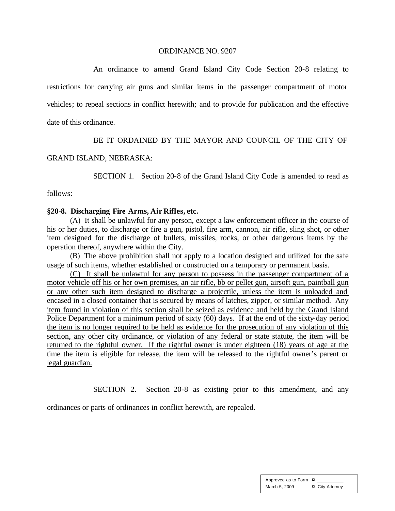#### ORDINANCE NO. 9207

An ordinance to amend Grand Island City Code Section 20-8 relating to restrictions for carrying air guns and similar items in the passenger compartment of motor vehicles; to repeal sections in conflict herewith; and to provide for publication and the effective date of this ordinance.

#### BE IT ORDAINED BY THE MAYOR AND COUNCIL OF THE CITY OF

#### GRAND ISLAND, NEBRASKA:

SECTION 1. Section 20-8 of the Grand Island City Code is amended to read as

follows:

#### **§20-8. Discharging Fire Arms, Air Rifles, etc.**

(A) It shall be unlawful for any person, except a law enforcement officer in the course of his or her duties, to discharge or fire a gun, pistol, fire arm, cannon, air rifle, sling shot, or other item designed for the discharge of bullets, missiles, rocks, or other dangerous items by the operation thereof, anywhere within the City.

(B) The above prohibition shall not apply to a location designed and utilized for the safe usage of such items, whether established or constructed on a temporary or permanent basis.

(C) It shall be unlawful for any person to possess in the passenger compartment of a motor vehicle off his or her own premises, an air rifle, bb or pellet gun, airsoft gun, paintball gun or any other such item designed to discharge a projectile, unless the item is unloaded and encased in a closed container that is secured by means of latches, zipper, or similar method. Any item found in violation of this section shall be seized as evidence and held by the Grand Island Police Department for a minimum period of sixty (60) days. If at the end of the sixty-day period the item is no longer required to be held as evidence for the prosecution of any violation of this section, any other city ordinance, or violation of any federal or state statute, the item will be returned to the rightful owner. If the rightful owner is under eighteen (18) years of age at the time the item is eligible for release, the item will be released to the rightful owner's parent or legal guardian.

SECTION 2. Section 20-8 as existing prior to this amendment, and any

ordinances or parts of ordinances in conflict herewith, are repealed.